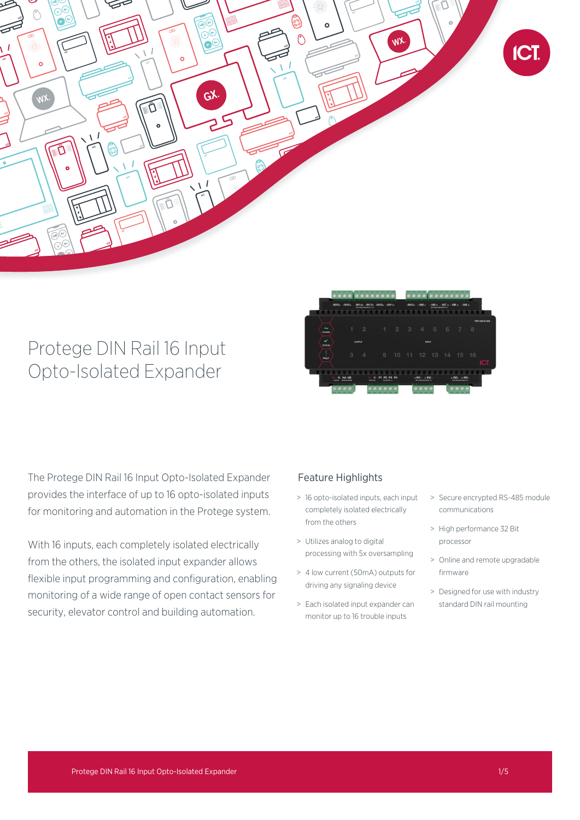

# Protege DIN Rail 16 Input Opto-Isolated Expander



The Protege DIN Rail 16 Input Opto-Isolated Expander provides the interface of up to 16 opto-isolated inputs for monitoring and automation in the Protege system.

With 16 inputs, each completely isolated electrically from the others, the isolated input expander allows flexible input programming and configuration, enabling monitoring of a wide range of open contact sensors for security, elevator control and building automation.

# Feature Highlights

- > 16 opto-isolated inputs, each input completely isolated electrically from the others
- > Utilizes analog to digital processing with 5x oversampling
- > 4 low current (50mA) outputs for driving any signaling device
- > Each isolated input expander can monitor up to 16 trouble inputs
- > Secure encrypted RS-485 module communications
- > High performance 32 Bit processor
- > Online and remote upgradable firmware
- > Designed for use with industry standard DIN rail mounting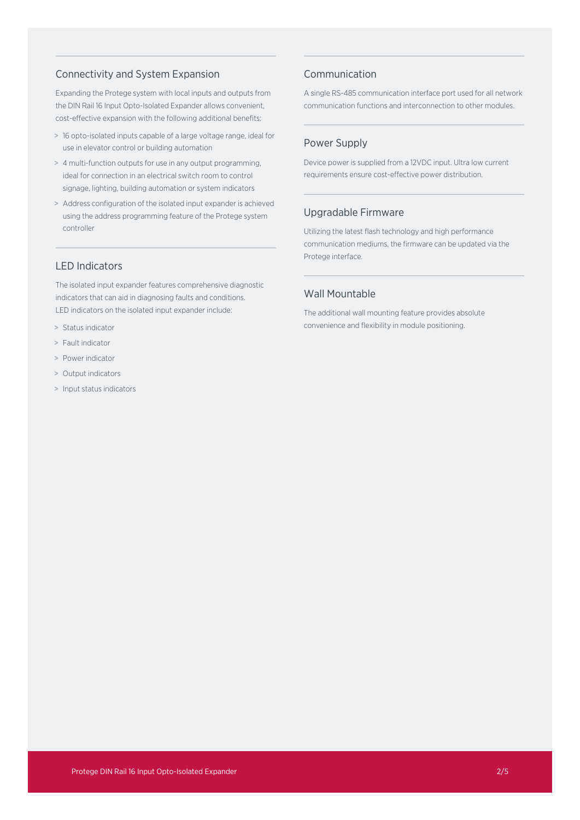# Connectivity and System Expansion

Expanding the Protege system with local inputs and outputs from the DIN Rail 16 Input Opto-Isolated Expander allows convenient, cost-effective expansion with the following additional benefits:

- > 16 opto-isolated inputs capable of a large voltage range, ideal for use in elevator control or building automation
- > 4 multi-function outputs for use in any output programming, ideal for connection in an electrical switch room to control signage, lighting, building automation or system indicators
- > Address configuration of the isolated input expander is achieved using the address programming feature of the Protege system controller

## LED Indicators

The isolated input expander features comprehensive diagnostic indicators that can aid in diagnosing faults and conditions. LED indicators on the isolated input expander include:

- > Status indicator
- > Fault indicator
- > Power indicator
- > Output indicators
- > Input status indicators

# Communication

A single RS-485 communication interface port used for all network communication functions and interconnection to other modules.

# Power Supply

Device power is supplied from a 12VDC input. Ultra low current requirements ensure cost-effective power distribution.

# Upgradable Firmware

Utilizing the latest flash technology and high performance communication mediums, the firmware can be updated via the Protege interface.

# Wall Mountable

The additional wall mounting feature provides absolute convenience and flexibility in module positioning.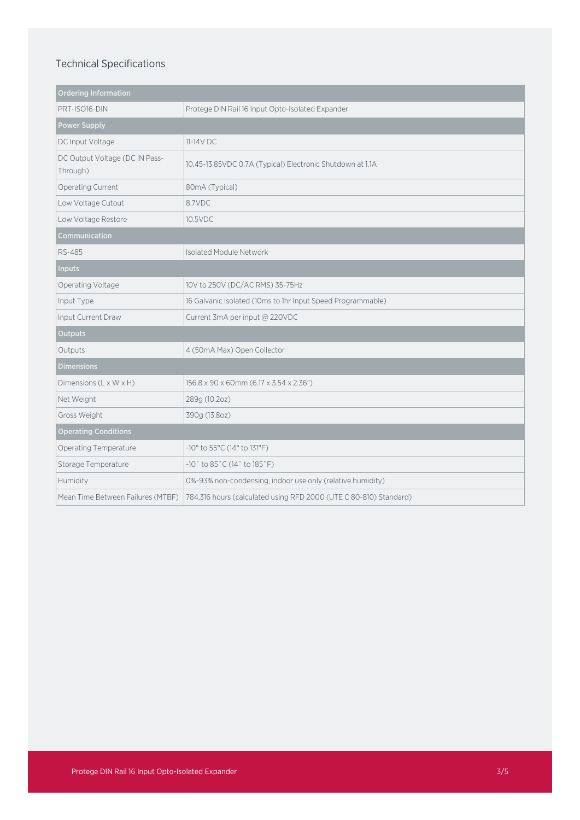# Technical Specifications

| <b>Ordering Information</b>                |                                                                      |
|--------------------------------------------|----------------------------------------------------------------------|
| PRT-ISO16-DIN                              | Protege DIN Rail 16 Input Opto-Isolated Expander                     |
| <b>Power Supply</b>                        |                                                                      |
| DC Input Voltage                           | $11-14V$ DC.                                                         |
| DC Output Voltage (DC IN Pass-<br>Through) | 10.45-13.85VDC 0.7A (Typical) Electronic Shutdown at 1.1A            |
| Operating Current                          | 80mA (Typical)                                                       |
| Low Voltage Cutout                         | 8.7VDC                                                               |
| Low Voltage Restore                        | 10.5VDC                                                              |
| Communication                              |                                                                      |
| <b>RS-485</b>                              | Isolated Module Network                                              |
| <b>Inputs</b>                              |                                                                      |
| Operating Voltage                          | 10V to 250V (DC/AC RMS) 35-75Hz                                      |
| Input Type                                 | 16 Galvanic Isolated (10ms to 1hr Input Speed Programmable)          |
| Input Current Draw                         | Current 3mA per input @ 220VDC                                       |
| <b>Outputs</b>                             |                                                                      |
| Outputs                                    | 4 (50mA Max) Open Collector                                          |
| <b>Dimensions</b>                          |                                                                      |
| Dimensions (L x W x H)                     | 156.8 x 90 x 60mm (6.17 x 3.54 x 2.36")                              |
| Net Weight                                 | 289g (10.2oz)                                                        |
| Gross Weight                               | 390g (13.8oz)                                                        |
| <b>Operating Conditions</b>                |                                                                      |
| Operating Temperature                      | -10° to 55°C (14° to 131°F)                                          |
| Storage Temperature                        | $-10^{\circ}$ to 85 $^{\circ}$ C (14 $^{\circ}$ to 185 $^{\circ}$ F) |
| Humidity                                   | 0%-93% non-condensing, indoor use only (relative humidity)           |
| Mean Time Between Failures (MTBF)          | 784,316 hours (calculated using RFD 2000 (UTE C 80-810) Standard)    |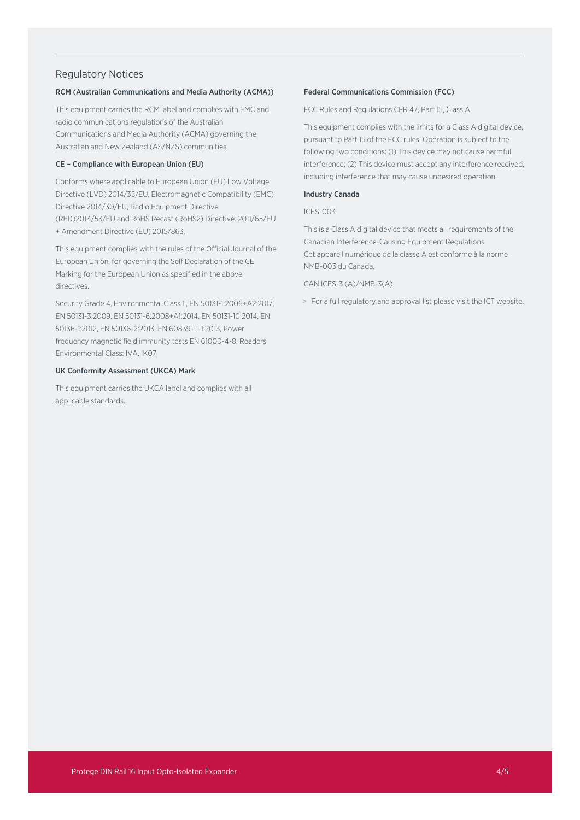## Regulatory Notices

#### RCM (Australian Communications and Media Authority (ACMA))

This equipment carries the RCM label and complies with EMC and radio communications regulations of the Australian Communications and Media Authority (ACMA) governing the Australian and New Zealand (AS/NZS) communities.

### CE – Compliance with European Union (EU)

Conforms where applicable to European Union (EU) Low Voltage Directive (LVD) 2014/35/EU, Electromagnetic Compatibility (EMC) Directive 2014/30/EU, Radio Equipment Directive (RED)2014/53/EU and RoHS Recast (RoHS2) Directive: 2011/65/EU + Amendment Directive (EU) 2015/863.

This equipment complies with the rules of the Official Journal of the European Union, for governing the Self Declaration of the CE Marking for the European Union as specified in the above directives.

Security Grade 4, Environmental Class II, EN 50131-1:2006+A2:2017, EN 50131-3:2009, EN 50131-6:2008+A1:2014, EN 50131-10:2014, EN 50136-1:2012, EN 50136-2:2013, EN 60839-11-1:2013, Power frequency magnetic field immunity tests EN 61000-4-8, Readers Environmental Class: IVA, IK07.

#### UK Conformity Assessment (UKCA) Mark

This equipment carries the UKCA label and complies with all applicable standards.

#### Federal Communications Commission (FCC)

FCC Rules and Regulations CFR 47, Part 15, Class A.

This equipment complies with the limits for a Class A digital device, pursuant to Part 15 of the FCC rules. Operation is subject to the following two conditions: (1) This device may not cause harmful interference; (2) This device must accept any interference received, including interference that may cause undesired operation.

#### Industry Canada

#### ICES-003

This is a Class A digital device that meets all requirements of the Canadian Interference-Causing Equipment Regulations. Cet appareil numérique de la classe A est conforme à la norme NMB-003 du Canada.

#### CAN ICES-3 (A)/NMB-3(A)

> For a full regulatory and approval list please visit the ICT website.